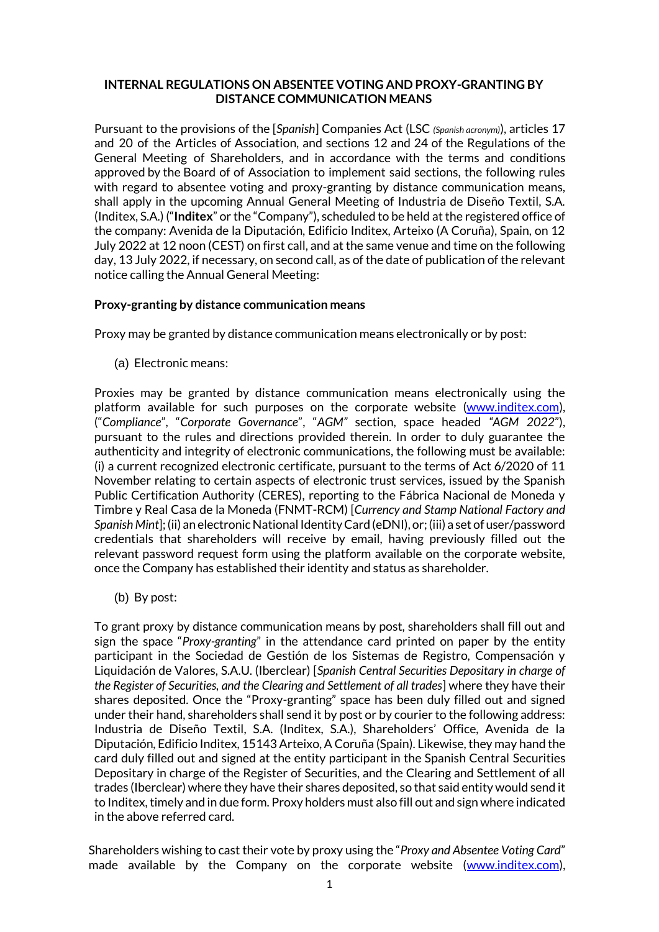### **INTERNAL REGULATIONS ON ABSENTEE VOTING AND PROXY-GRANTING BY DISTANCE COMMUNICATION MEANS**

Pursuant to the provisions of the [*Spanish*] Companies Act (LSC *(Spanish acronym)*), articles 17 and 20 of the Articles of Association, and sections 12 and 24 of the Regulations of the General Meeting of Shareholders, and in accordance with the terms and conditions approved by the Board of of Association to implement said sections, the following rules with regard to absentee voting and proxy-granting by distance communication means, shall apply in the upcoming Annual General Meeting of Industria de Diseño Textil, S.A. (Inditex, S.A.) ("**Inditex**" or the "Company"), scheduled to be held at the registered office of the company: Avenida de la Diputación, Edificio Inditex, Arteixo (A Coruña), Spain, on 12 July 2022 at 12 noon (CEST) on first call, and at the same venue and time on the following day, 13 July 2022, if necessary, on second call, as of the date of publication of the relevant notice calling the Annual General Meeting:

## **Proxy-granting by distance communication means**

Proxy may be granted by distance communication means electronically or by post:

(a) Electronic means:

Proxies may be granted by distance communication means electronically using the platform available for such purposes on the corporate website [\(www.inditex.com\)](http://www.inditex.com/), ("*Compliance*", "*Corporate Governance*", "*AGM"* section, space headed *"AGM 2022*"), pursuant to the rules and directions provided therein. In order to duly guarantee the authenticity and integrity of electronic communications, the following must be available: (i) a current recognized electronic certificate, pursuant to the terms of Act 6/2020 of 11 November relating to certain aspects of electronic trust services, issued by the Spanish Public Certification Authority (CERES), reporting to the Fábrica Nacional de Moneda y Timbre y Real Casa de la Moneda (FNMT-RCM) [*Currency and Stamp National Factory and Spanish Mint*]; (ii) an electronic National Identity Card (eDNI), or; (iii) a set of user/password credentials that shareholders will receive by email, having previously filled out the relevant password request form using the platform available on the corporate website, once the Company has established their identity and status as shareholder.

(b) By post:

To grant proxy by distance communication means by post, shareholders shall fill out and sign the space "*Proxy-granting*" in the attendance card printed on paper by the entity participant in the Sociedad de Gestión de los Sistemas de Registro, Compensación y Liquidación de Valores, S.A.U. (Iberclear) [*Spanish Central Securities Depositary in charge of the Register of Securities, and the Clearing and Settlement of all trades*] where they have their shares deposited. Once the "Proxy-granting" space has been duly filled out and signed under their hand, shareholders shall send it by post or by courier to the following address: Industria de Diseño Textil, S.A. (Inditex, S.A.), Shareholders' Office, Avenida de la Diputación, Edificio Inditex, 15143 Arteixo, A Coruña (Spain). Likewise, they may hand the card duly filled out and signed at the entity participant in the Spanish Central Securities Depositary in charge of the Register of Securities, and the Clearing and Settlement of all trades (Iberclear) where they have their shares deposited, so that said entity would send it to Inditex, timely and in due form. Proxy holders must also fill out and sign where indicated in the above referred card.

Shareholders wishing to cast their vote by proxy using the "*Proxy and Absentee Voting Card*" made available by the Company on the corporate website [\(www.inditex.com\)](http://www.inditex.com/),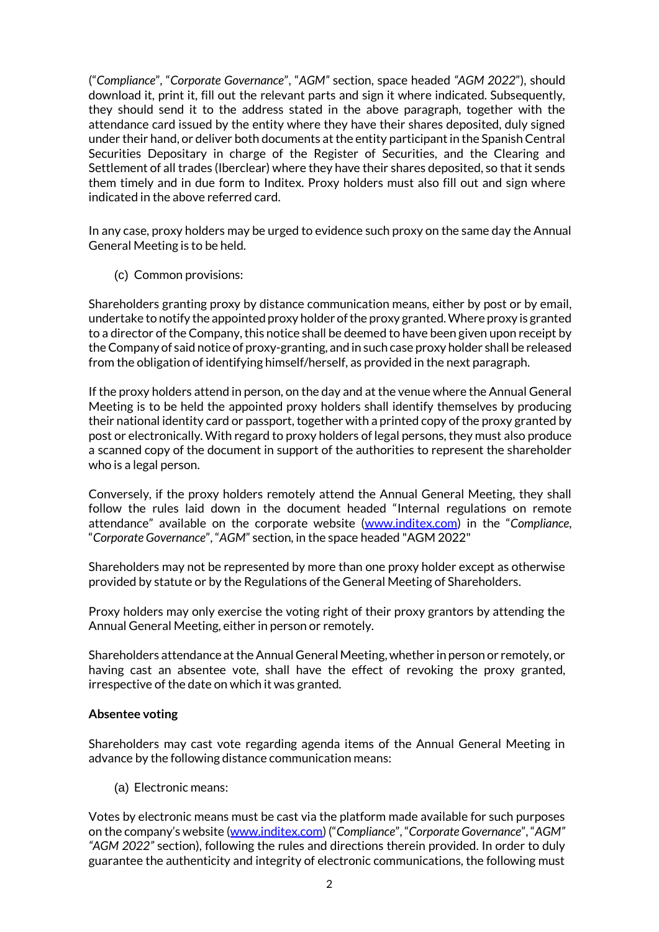("*Compliance*", "*Corporate Governance*", "*AGM"* section, space headed *"AGM 2022*"), should download it, print it, fill out the relevant parts and sign it where indicated. Subsequently, they should send it to the address stated in the above paragraph, together with the attendance card issued by the entity where they have their shares deposited, duly signed under their hand, or deliver both documents at the entity participant in the Spanish Central Securities Depositary in charge of the Register of Securities, and the Clearing and Settlement of all trades (Iberclear) where they have their shares deposited, so that it sends them timely and in due form to Inditex. Proxy holders must also fill out and sign where indicated in the above referred card.

In any case, proxy holders may be urged to evidence such proxy on the same day the Annual General Meeting is to be held.

(c) Common provisions:

Shareholders granting proxy by distance communication means, either by post or by email, undertake to notify the appointed proxy holder of the proxy granted. Where proxy is granted to a director of the Company, this notice shall be deemed to have been given upon receipt by the Company of said notice of proxy-granting, and in such case proxy holder shall be released from the obligation of identifying himself/herself, as provided in the next paragraph.

If the proxy holders attend in person, on the day and at the venue where the Annual General Meeting is to be held the appointed proxy holders shall identify themselves by producing their national identity card or passport, together with a printed copy of the proxy granted by post or electronically. With regard to proxy holders of legal persons, they must also produce a scanned copy of the document in support of the authorities to represent the shareholder who is a legal person.

Conversely, if the proxy holders remotely attend the Annual General Meeting, they shall follow the rules laid down in the document headed "Internal regulations on remote attendance" available on the corporate website [\(www.inditex.com\)](http://www.inditex.com/) in the "*Compliance*, "*Corporate Governance*", "*AGM*" section, in the space headed "AGM 2022"

Shareholders may not be represented by more than one proxy holder except as otherwise provided by statute or by the Regulations of the General Meeting of Shareholders.

Proxy holders may only exercise the voting right of their proxy grantors by attending the Annual General Meeting, either in person or remotely.

Shareholders attendance at the Annual General Meeting, whether in person or remotely, or having cast an absentee vote, shall have the effect of revoking the proxy granted, irrespective of the date on which it was granted.

# **Absentee voting**

Shareholders may cast vote regarding agenda items of the Annual General Meeting in advance by the following distance communication means:

(a) Electronic means:

Votes by electronic means must be cast via the platform made available for such purposes on the company's website [\(www.inditex.com](http://www.inditex.com/)) ("*Compliance*", "*Corporate Governance*", "*AGM" "AGM 2022"* section), following the rules and directions therein provided. In order to duly guarantee the authenticity and integrity of electronic communications, the following must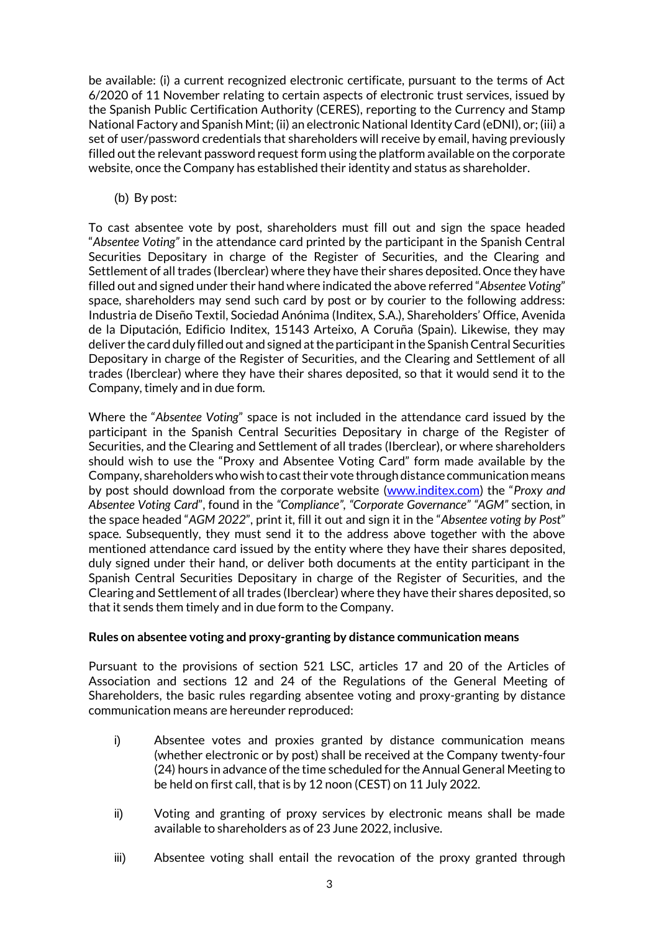be available: (i) a current recognized electronic certificate, pursuant to the terms of Act 6/2020 of 11 November relating to certain aspects of electronic trust services, issued by the Spanish Public Certification Authority (CERES), reporting to the Currency and Stamp National Factory and Spanish Mint; (ii) an electronic National Identity Card (eDNI), or; (iii) a set of user/password credentials that shareholders will receive by email, having previously filled out the relevant password request form using the platform available on the corporate website, once the Company has established their identity and status as shareholder.

## (b) By post:

To cast absentee vote by post, shareholders must fill out and sign the space headed "*Absentee Voting"* in the attendance card printed by the participant in the Spanish Central Securities Depositary in charge of the Register of Securities, and the Clearing and Settlement of all trades (Iberclear) where they have their shares deposited. Once they have filled out and signed under their hand where indicated the above referred "*Absentee Voting*" space, shareholders may send such card by post or by courier to the following address: Industria de Diseño Textil, Sociedad Anónima (Inditex, S.A.), Shareholders' Office, Avenida de la Diputación, Edificio Inditex, 15143 Arteixo, A Coruña (Spain). Likewise, they may deliver the card duly filled out and signed at the participant in the Spanish Central Securities Depositary in charge of the Register of Securities, and the Clearing and Settlement of all trades (Iberclear) where they have their shares deposited, so that it would send it to the Company, timely and in due form.

Where the "*Absentee Voting*" space is not included in the attendance card issued by the participant in the Spanish Central Securities Depositary in charge of the Register of Securities, and the Clearing and Settlement of all trades (Iberclear), or where shareholders should wish to use the "Proxy and Absentee Voting Card" form made available by the Company, shareholders who wish to cast their vote through distance communication means by post should download from the corporate website [\(www.inditex.com](http://www.inditex.com/)) the "*Proxy and Absentee Voting Card*", found in the *"Compliance", "Corporate Governance" "AGM"* section, in the space headed "*AGM 2022*", print it, fill it out and sign it in the "*Absentee voting by Post*" space. Subsequently, they must send it to the address above together with the above mentioned attendance card issued by the entity where they have their shares deposited, duly signed under their hand, or deliver both documents at the entity participant in the Spanish Central Securities Depositary in charge of the Register of Securities, and the Clearing and Settlement of all trades (Iberclear) where they have their shares deposited, so that it sends them timely and in due form to the Company.

#### **Rules on absentee voting and proxy-granting by distance communication means**

Pursuant to the provisions of section 521 LSC, articles 17 and 20 of the Articles of Association and sections 12 and 24 of the Regulations of the General Meeting of Shareholders, the basic rules regarding absentee voting and proxy-granting by distance communication means are hereunder reproduced:

- i) Absentee votes and proxies granted by distance communication means (whether electronic or by post) shall be received at the Company twenty-four (24) hours in advance of the time scheduled for the Annual General Meeting to be held on first call, that is by 12 noon (CEST) on 11 July 2022.
- ii) Voting and granting of proxy services by electronic means shall be made available to shareholders as of 23 June 2022, inclusive.
- iii) Absentee voting shall entail the revocation of the proxy granted through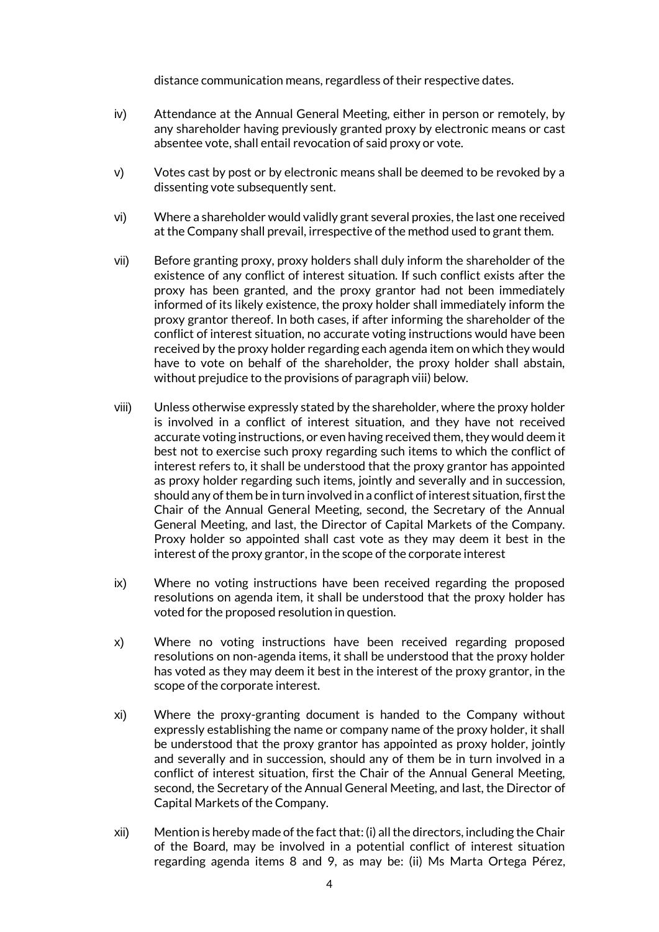distance communication means, regardless of their respective dates.

- iv) Attendance at the Annual General Meeting, either in person or remotely, by any shareholder having previously granted proxy by electronic means or cast absentee vote, shall entail revocation of said proxy or vote.
- v) Votes cast by post or by electronic means shall be deemed to be revoked by a dissenting vote subsequently sent.
- vi) Where a shareholder would validly grant several proxies, the last one received at the Company shall prevail, irrespective of the method used to grant them.
- vii) Before granting proxy, proxy holders shall duly inform the shareholder of the existence of any conflict of interest situation. If such conflict exists after the proxy has been granted, and the proxy grantor had not been immediately informed of its likely existence, the proxy holder shall immediately inform the proxy grantor thereof. In both cases, if after informing the shareholder of the conflict of interest situation, no accurate voting instructions would have been received by the proxy holder regarding each agenda item on which they would have to vote on behalf of the shareholder, the proxy holder shall abstain, without prejudice to the provisions of paragraph viii) below.
- viii) Unless otherwise expressly stated by the shareholder, where the proxy holder is involved in a conflict of interest situation, and they have not received accurate voting instructions, or even having received them, they would deem it best not to exercise such proxy regarding such items to which the conflict of interest refers to, it shall be understood that the proxy grantor has appointed as proxy holder regarding such items, jointly and severally and in succession, should any of them be in turn involved in a conflict of interest situation, first the Chair of the Annual General Meeting, second, the Secretary of the Annual General Meeting, and last, the Director of Capital Markets of the Company. Proxy holder so appointed shall cast vote as they may deem it best in the interest of the proxy grantor, in the scope of the corporate interest
- ix) Where no voting instructions have been received regarding the proposed resolutions on agenda item, it shall be understood that the proxy holder has voted for the proposed resolution in question.
- x) Where no voting instructions have been received regarding proposed resolutions on non-agenda items, it shall be understood that the proxy holder has voted as they may deem it best in the interest of the proxy grantor, in the scope of the corporate interest.
- xi) Where the proxy-granting document is handed to the Company without expressly establishing the name or company name of the proxy holder, it shall be understood that the proxy grantor has appointed as proxy holder, jointly and severally and in succession, should any of them be in turn involved in a conflict of interest situation, first the Chair of the Annual General Meeting, second, the Secretary of the Annual General Meeting, and last, the Director of Capital Markets of the Company.
- xii) Mention is hereby made of the fact that: (i) all the directors, including the Chair of the Board, may be involved in a potential conflict of interest situation regarding agenda items 8 and 9, as may be: (ii) Ms Marta Ortega Pérez,